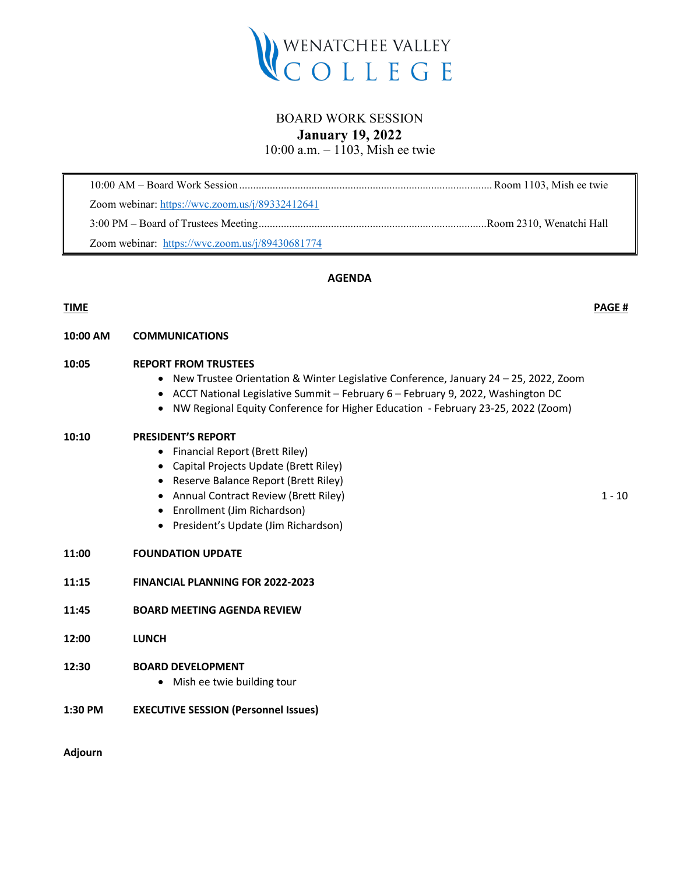

# BOARD WORK SESSION **January 19, 2022**

10:00 a.m. – 1103, Mish ee twie

| Zoom webinar: https://wvc.zoom.us/j/89332412641 |  |
|-------------------------------------------------|--|
|                                                 |  |
| Zoom webinar: https://wvc.zoom.us/j/89430681774 |  |

# **AGENDA**

# **TIME PAGE #**

# **10:00 AM COMMUNICATIONS**

### **10:05 REPORT FROM TRUSTEES**

- New Trustee Orientation & Winter Legislative Conference, January 24 25, 2022, Zoom
- ACCT National Legislative Summit February 6 February 9, 2022, Washington DC
- NW Regional Equity Conference for Higher Education February 23-25, 2022 (Zoom)

#### **10:10 PRESIDENT'S REPORT**

- Financial Report (Brett Riley)
- Capital Projects Update (Brett Riley)
- Reserve Balance Report (Brett Riley)
- Annual Contract Review (Brett Riley) 1 10
- Enrollment (Jim Richardson)
- President's Update (Jim Richardson)

#### **11:00 FOUNDATION UPDATE**

- **11:15 FINANCIAL PLANNING FOR 2022-2023**
- **11:45 BOARD MEETING AGENDA REVIEW**
- **12:00 LUNCH**

#### **12:30 BOARD DEVELOPMENT**

- Mish ee twie building tour
- **1:30 PM EXECUTIVE SESSION (Personnel Issues)**

**Adjourn**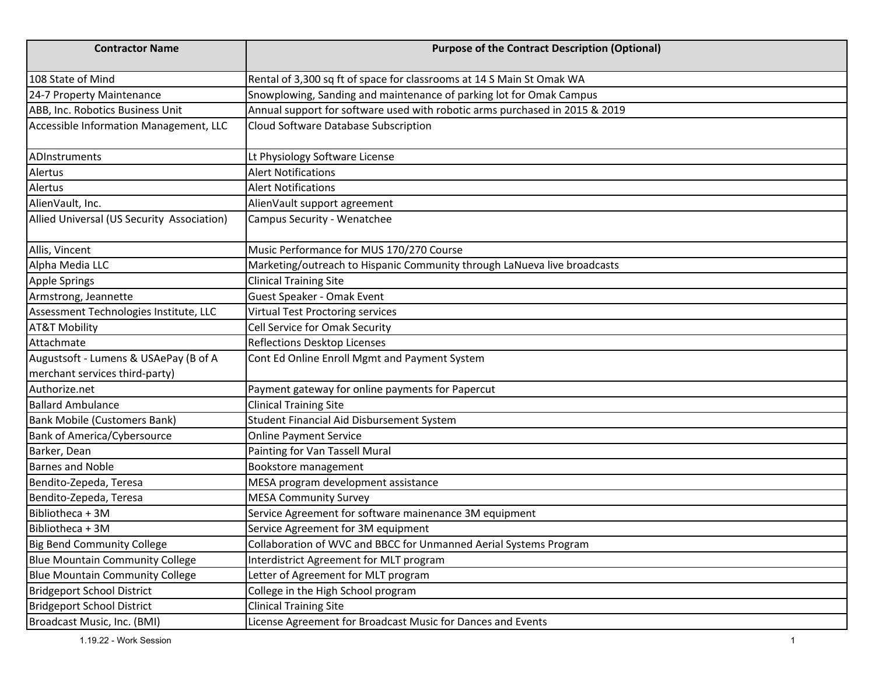| <b>Contractor Name</b>                     | <b>Purpose of the Contract Description (Optional)</b>                       |
|--------------------------------------------|-----------------------------------------------------------------------------|
| 108 State of Mind                          | Rental of 3,300 sq ft of space for classrooms at 14 S Main St Omak WA       |
| 24-7 Property Maintenance                  | Snowplowing, Sanding and maintenance of parking lot for Omak Campus         |
| ABB, Inc. Robotics Business Unit           | Annual support for software used with robotic arms purchased in 2015 & 2019 |
| Accessible Information Management, LLC     | Cloud Software Database Subscription                                        |
| ADInstruments                              | Lt Physiology Software License                                              |
| Alertus                                    | <b>Alert Notifications</b>                                                  |
| Alertus                                    | <b>Alert Notifications</b>                                                  |
| AlienVault, Inc.                           | AlienVault support agreement                                                |
| Allied Universal (US Security Association) | Campus Security - Wenatchee                                                 |
| Allis, Vincent                             | Music Performance for MUS 170/270 Course                                    |
| Alpha Media LLC                            | Marketing/outreach to Hispanic Community through LaNueva live broadcasts    |
| Apple Springs                              | <b>Clinical Training Site</b>                                               |
| Armstrong, Jeannette                       | Guest Speaker - Omak Event                                                  |
| Assessment Technologies Institute, LLC     | <b>Virtual Test Proctoring services</b>                                     |
| <b>AT&amp;T Mobility</b>                   | Cell Service for Omak Security                                              |
| Attachmate                                 | <b>Reflections Desktop Licenses</b>                                         |
| Augustsoft - Lumens & USAePay (B of A      | Cont Ed Online Enroll Mgmt and Payment System                               |
| merchant services third-party)             |                                                                             |
| Authorize.net                              | Payment gateway for online payments for Papercut                            |
| <b>Ballard Ambulance</b>                   | <b>Clinical Training Site</b>                                               |
| <b>Bank Mobile (Customers Bank)</b>        | Student Financial Aid Disbursement System                                   |
| Bank of America/Cybersource                | <b>Online Payment Service</b>                                               |
| Barker, Dean                               | Painting for Van Tassell Mural                                              |
| <b>Barnes and Noble</b>                    | Bookstore management                                                        |
| Bendito-Zepeda, Teresa                     | MESA program development assistance                                         |
| Bendito-Zepeda, Teresa                     | <b>MESA Community Survey</b>                                                |
| Bibliotheca + 3M                           | Service Agreement for software mainenance 3M equipment                      |
| Bibliotheca + 3M                           | Service Agreement for 3M equipment                                          |
| <b>Big Bend Community College</b>          | Collaboration of WVC and BBCC for Unmanned Aerial Systems Program           |
| <b>Blue Mountain Community College</b>     | Interdistrict Agreement for MLT program                                     |
| <b>Blue Mountain Community College</b>     | etter of Agreement for MLT program                                          |
| <b>Bridgeport School District</b>          | College in the High School program                                          |
| <b>Bridgeport School District</b>          | <b>Clinical Training Site</b>                                               |
| Broadcast Music, Inc. (BMI)                | License Agreement for Broadcast Music for Dances and Events                 |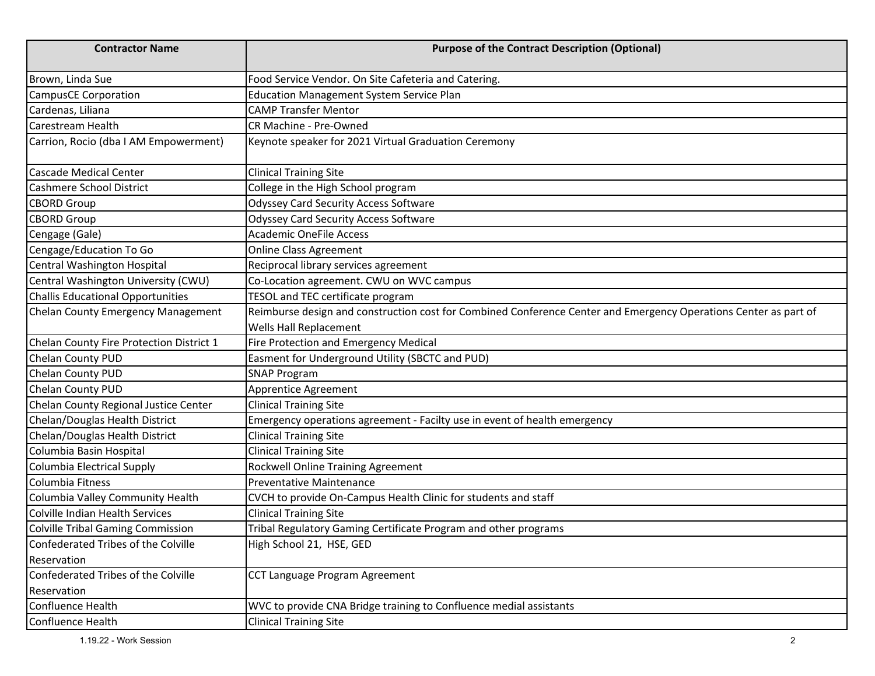| <b>Contractor Name</b>                   | <b>Purpose of the Contract Description (Optional)</b>                                                                                      |
|------------------------------------------|--------------------------------------------------------------------------------------------------------------------------------------------|
| Brown, Linda Sue                         | Food Service Vendor. On Site Cafeteria and Catering.                                                                                       |
| <b>CampusCE Corporation</b>              | <b>Education Management System Service Plan</b>                                                                                            |
| Cardenas, Liliana                        | <b>CAMP Transfer Mentor</b>                                                                                                                |
| Carestream Health                        | CR Machine - Pre-Owned                                                                                                                     |
| Carrion, Rocio (dba I AM Empowerment)    | Keynote speaker for 2021 Virtual Graduation Ceremony                                                                                       |
| <b>Cascade Medical Center</b>            | <b>Clinical Training Site</b>                                                                                                              |
| Cashmere School District                 | College in the High School program                                                                                                         |
| <b>CBORD Group</b>                       | <b>Odyssey Card Security Access Software</b>                                                                                               |
| <b>CBORD Group</b>                       | <b>Odyssey Card Security Access Software</b>                                                                                               |
| Cengage (Gale)                           | <b>Academic OneFile Access</b>                                                                                                             |
| Cengage/Education To Go                  | Online Class Agreement                                                                                                                     |
| Central Washington Hospital              | Reciprocal library services agreement                                                                                                      |
| Central Washington University (CWU)      | Co-Location agreement. CWU on WVC campus                                                                                                   |
| Challis Educational Opportunities        | TESOL and TEC certificate program                                                                                                          |
| Chelan County Emergency Management       | Reimburse design and construction cost for Combined Conference Center and Emergency Operations Center as part of<br>Wells Hall Replacement |
| Chelan County Fire Protection District 1 | Fire Protection and Emergency Medical                                                                                                      |
| Chelan County PUD                        | Easment for Underground Utility (SBCTC and PUD)                                                                                            |
| Chelan County PUD                        | <b>SNAP Program</b>                                                                                                                        |
| Chelan County PUD                        | Apprentice Agreement                                                                                                                       |
| Chelan County Regional Justice Center    | <b>Clinical Training Site</b>                                                                                                              |
| Chelan/Douglas Health District           | Emergency operations agreement - Facilty use in event of health emergency                                                                  |
| Chelan/Douglas Health District           | <b>Clinical Training Site</b>                                                                                                              |
| Columbia Basin Hospital                  | <b>Clinical Training Site</b>                                                                                                              |
| Columbia Electrical Supply               | Rockwell Online Training Agreement                                                                                                         |
| Columbia Fitness                         | <b>Preventative Maintenance</b>                                                                                                            |
| Columbia Valley Community Health         | CVCH to provide On-Campus Health Clinic for students and staff                                                                             |
| Colville Indian Health Services          | <b>Clinical Training Site</b>                                                                                                              |
| Colville Tribal Gaming Commission        | Tribal Regulatory Gaming Certificate Program and other programs                                                                            |
| Confederated Tribes of the Colville      | High School 21, HSE, GED                                                                                                                   |
| Reservation                              |                                                                                                                                            |
| Confederated Tribes of the Colville      | CCT Language Program Agreement                                                                                                             |
| Reservation                              |                                                                                                                                            |
| Confluence Health                        | WVC to provide CNA Bridge training to Confluence medial assistants                                                                         |
| Confluence Health                        | <b>Clinical Training Site</b>                                                                                                              |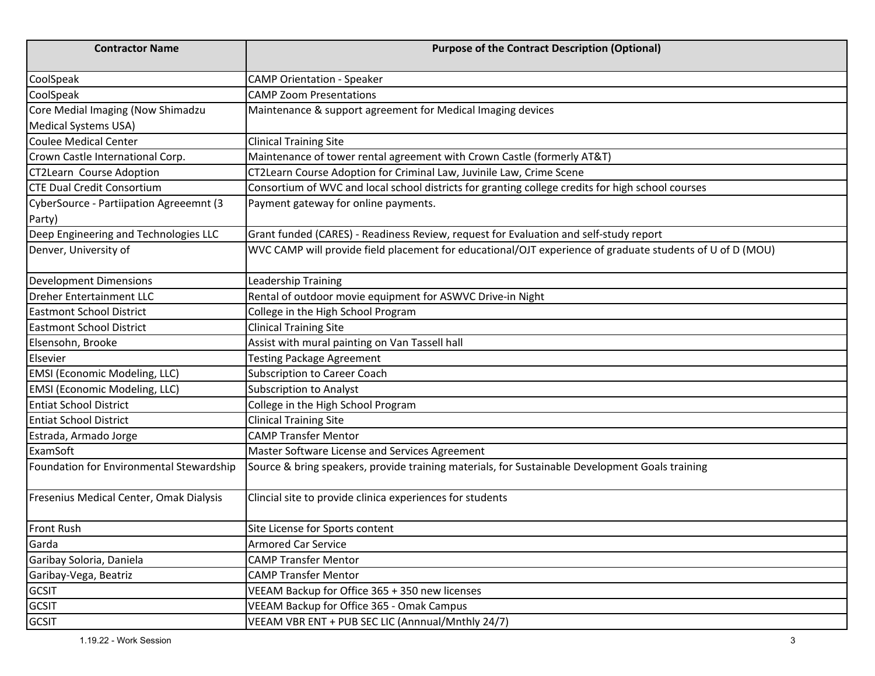| <b>Contractor Name</b>                   | <b>Purpose of the Contract Description (Optional)</b>                                                     |
|------------------------------------------|-----------------------------------------------------------------------------------------------------------|
| CoolSpeak                                | <b>CAMP Orientation - Speaker</b>                                                                         |
| CoolSpeak                                | <b>CAMP Zoom Presentations</b>                                                                            |
| Core Medial Imaging (Now Shimadzu        | Maintenance & support agreement for Medical Imaging devices                                               |
| <b>Medical Systems USA)</b>              |                                                                                                           |
| Coulee Medical Center                    | <b>Clinical Training Site</b>                                                                             |
| Crown Castle International Corp.         | Maintenance of tower rental agreement with Crown Castle (formerly AT&T)                                   |
| <b>CT2Learn Course Adoption</b>          | CT2Learn Course Adoption for Criminal Law, Juvinile Law, Crime Scene                                      |
| <b>CTE Dual Credit Consortium</b>        | Consortium of WVC and local school districts for granting college credits for high school courses         |
| CyberSource - Partiipation Agreeemnt (3  | Payment gateway for online payments.                                                                      |
| Party)                                   |                                                                                                           |
| Deep Engineering and Technologies LLC    | Grant funded (CARES) - Readiness Review, request for Evaluation and self-study report                     |
| Denver, University of                    | WVC CAMP will provide field placement for educational/OJT experience of graduate students of U of D (MOU) |
| <b>Development Dimensions</b>            | Leadership Training                                                                                       |
| <b>Dreher Entertainment LLC</b>          | Rental of outdoor movie equipment for ASWVC Drive-in Night                                                |
| <b>Eastmont School District</b>          | College in the High School Program                                                                        |
| <b>Eastmont School District</b>          | <b>Clinical Training Site</b>                                                                             |
| Elsensohn, Brooke                        | Assist with mural painting on Van Tassell hall                                                            |
| Elsevier                                 | <b>Testing Package Agreement</b>                                                                          |
| <b>EMSI</b> (Economic Modeling, LLC)     | <b>Subscription to Career Coach</b>                                                                       |
| <b>EMSI</b> (Economic Modeling, LLC)     | <b>Subscription to Analyst</b>                                                                            |
| <b>Entiat School District</b>            | College in the High School Program                                                                        |
| <b>Entiat School District</b>            | <b>Clinical Training Site</b>                                                                             |
| Estrada, Armado Jorge                    | <b>CAMP Transfer Mentor</b>                                                                               |
| ExamSoft                                 | Master Software License and Services Agreement                                                            |
| Foundation for Environmental Stewardship | Source & bring speakers, provide training materials, for Sustainable Development Goals training           |
| Fresenius Medical Center, Omak Dialysis  | Clincial site to provide clinica experiences for students                                                 |
| <b>Front Rush</b>                        | Site License for Sports content                                                                           |
| Garda                                    | <b>Armored Car Service</b>                                                                                |
| Garibay Soloria, Daniela                 | <b>CAMP Transfer Mentor</b>                                                                               |
| Garibay-Vega, Beatriz                    | <b>CAMP Transfer Mentor</b>                                                                               |
| <b>GCSIT</b>                             | VEEAM Backup for Office 365 + 350 new licenses                                                            |
| <b>GCSIT</b>                             | VEEAM Backup for Office 365 - Omak Campus                                                                 |
| <b>GCSIT</b>                             | VEEAM VBR ENT + PUB SEC LIC (Annnual/Mnthly 24/7)                                                         |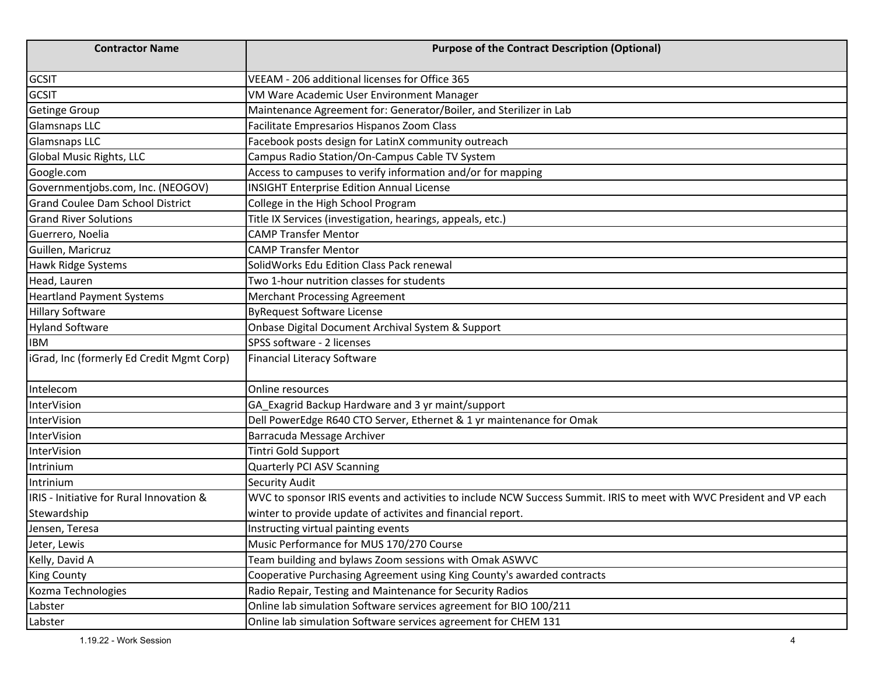| <b>Contractor Name</b>                    | <b>Purpose of the Contract Description (Optional)</b>                                                                |
|-------------------------------------------|----------------------------------------------------------------------------------------------------------------------|
| <b>GCSIT</b>                              | VEEAM - 206 additional licenses for Office 365                                                                       |
| <b>GCSIT</b>                              | VM Ware Academic User Environment Manager                                                                            |
| <b>Getinge Group</b>                      | Maintenance Agreement for: Generator/Boiler, and Sterilizer in Lab                                                   |
| <b>Glamsnaps LLC</b>                      | Facilitate Empresarios Hispanos Zoom Class                                                                           |
| <b>Glamsnaps LLC</b>                      | Facebook posts design for LatinX community outreach                                                                  |
| <b>Global Music Rights, LLC</b>           | Campus Radio Station/On-Campus Cable TV System                                                                       |
| Google.com                                | Access to campuses to verify information and/or for mapping                                                          |
| Governmentjobs.com, Inc. (NEOGOV)         | <b>INSIGHT Enterprise Edition Annual License</b>                                                                     |
| <b>Grand Coulee Dam School District</b>   | College in the High School Program                                                                                   |
| <b>Grand River Solutions</b>              | Title IX Services (investigation, hearings, appeals, etc.)                                                           |
| Guerrero, Noelia                          | <b>CAMP Transfer Mentor</b>                                                                                          |
| Guillen, Maricruz                         | <b>CAMP Transfer Mentor</b>                                                                                          |
| Hawk Ridge Systems                        | SolidWorks Edu Edition Class Pack renewal                                                                            |
| Head, Lauren                              | Two 1-hour nutrition classes for students                                                                            |
| <b>Heartland Payment Systems</b>          | <b>Merchant Processing Agreement</b>                                                                                 |
| <b>Hillary Software</b>                   | <b>ByRequest Software License</b>                                                                                    |
| <b>Hyland Software</b>                    | Onbase Digital Document Archival System & Support                                                                    |
| <b>IBM</b>                                | SPSS software - 2 licenses                                                                                           |
| iGrad, Inc (formerly Ed Credit Mgmt Corp) | <b>Financial Literacy Software</b>                                                                                   |
| Intelecom                                 | Online resources                                                                                                     |
| <b>InterVision</b>                        | GA_Exagrid Backup Hardware and 3 yr maint/support                                                                    |
| <b>InterVision</b>                        | Dell PowerEdge R640 CTO Server, Ethernet & 1 yr maintenance for Omak                                                 |
| <b>InterVision</b>                        | Barracuda Message Archiver                                                                                           |
| <b>InterVision</b>                        | Tintri Gold Support                                                                                                  |
| Intrinium                                 | Quarterly PCI ASV Scanning                                                                                           |
| Intrinium                                 | <b>Security Audit</b>                                                                                                |
| IRIS - Initiative for Rural Innovation &  | WVC to sponsor IRIS events and activities to include NCW Success Summit. IRIS to meet with WVC President and VP each |
| Stewardship                               | winter to provide update of activites and financial report.                                                          |
| Jensen, Teresa                            | Instructing virtual painting events                                                                                  |
| Jeter, Lewis                              | Music Performance for MUS 170/270 Course                                                                             |
| Kelly, David A                            | Team building and bylaws Zoom sessions with Omak ASWVC                                                               |
| <b>King County</b>                        | Cooperative Purchasing Agreement using King County's awarded contracts                                               |
| Kozma Technologies                        | Radio Repair, Testing and Maintenance for Security Radios                                                            |
| Labster                                   | Online lab simulation Software services agreement for BIO 100/211                                                    |
| Labster                                   | Online lab simulation Software services agreement for CHEM 131                                                       |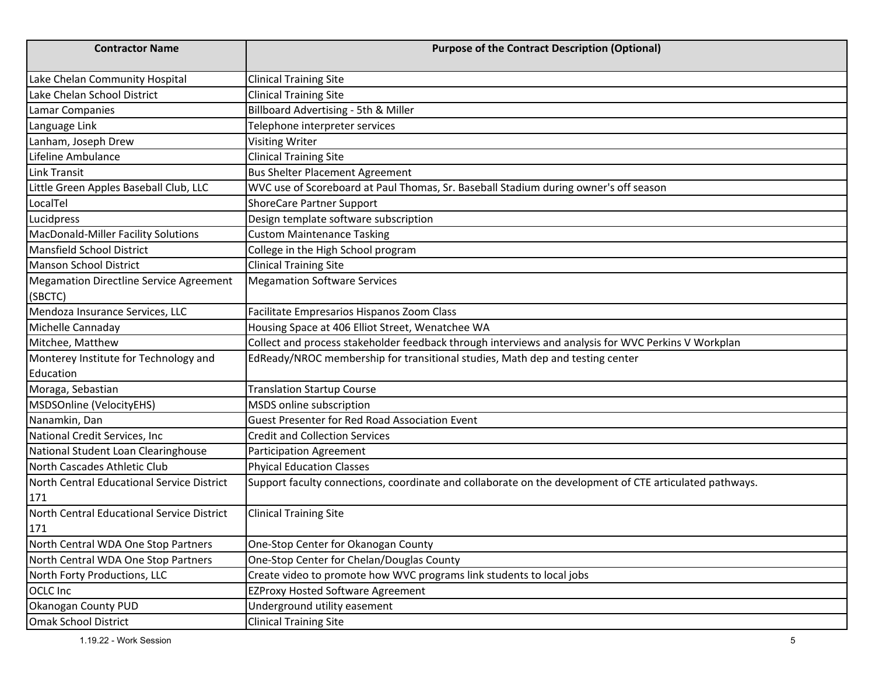| <b>Contractor Name</b>                     | <b>Purpose of the Contract Description (Optional)</b>                                                   |
|--------------------------------------------|---------------------------------------------------------------------------------------------------------|
| Lake Chelan Community Hospital             | <b>Clinical Training Site</b>                                                                           |
| Lake Chelan School District                | <b>Clinical Training Site</b>                                                                           |
| <b>Lamar Companies</b>                     | Billboard Advertising - 5th & Miller                                                                    |
| Language Link                              | Telephone interpreter services                                                                          |
| Lanham, Joseph Drew                        | <b>Visiting Writer</b>                                                                                  |
| Lifeline Ambulance                         | <b>Clinical Training Site</b>                                                                           |
| Link Transit                               | <b>Bus Shelter Placement Agreement</b>                                                                  |
| Little Green Apples Baseball Club, LLC     | WVC use of Scoreboard at Paul Thomas, Sr. Baseball Stadium during owner's off season                    |
| LocalTel                                   | <b>ShoreCare Partner Support</b>                                                                        |
| Lucidpress                                 | Design template software subscription                                                                   |
| MacDonald-Miller Facility Solutions        | <b>Custom Maintenance Tasking</b>                                                                       |
| Mansfield School District                  | College in the High School program                                                                      |
| Manson School District                     | <b>Clinical Training Site</b>                                                                           |
| Megamation Directline Service Agreement    | <b>Megamation Software Services</b>                                                                     |
| (SBCTC)                                    |                                                                                                         |
| Mendoza Insurance Services, LLC            | Facilitate Empresarios Hispanos Zoom Class                                                              |
| Michelle Cannaday                          | Housing Space at 406 Elliot Street, Wenatchee WA                                                        |
| Mitchee, Matthew                           | Collect and process stakeholder feedback through interviews and analysis for WVC Perkins V Workplan     |
| Monterey Institute for Technology and      | EdReady/NROC membership for transitional studies, Math dep and testing center                           |
| Education                                  |                                                                                                         |
| Moraga, Sebastian                          | <b>Translation Startup Course</b>                                                                       |
| MSDSOnline (VelocityEHS)                   | MSDS online subscription                                                                                |
| Nanamkin, Dan                              | Guest Presenter for Red Road Association Event                                                          |
| National Credit Services, Inc.             | <b>Credit and Collection Services</b>                                                                   |
| National Student Loan Clearinghouse        | <b>Participation Agreement</b>                                                                          |
| North Cascades Athletic Club               | <b>Phyical Education Classes</b>                                                                        |
| North Central Educational Service District | Support faculty connections, coordinate and collaborate on the development of CTE articulated pathways. |
| 171                                        |                                                                                                         |
| North Central Educational Service District | <b>Clinical Training Site</b>                                                                           |
| 171                                        |                                                                                                         |
| North Central WDA One Stop Partners        | One-Stop Center for Okanogan County                                                                     |
| North Central WDA One Stop Partners        | One-Stop Center for Chelan/Douglas County                                                               |
| North Forty Productions, LLC               | Create video to promote how WVC programs link students to local jobs                                    |
| <b>OCLC</b> Inc                            | <b>EZProxy Hosted Software Agreement</b>                                                                |
| <b>Okanogan County PUD</b>                 | Underground utility easement                                                                            |
| <b>Omak School District</b>                | <b>Clinical Training Site</b>                                                                           |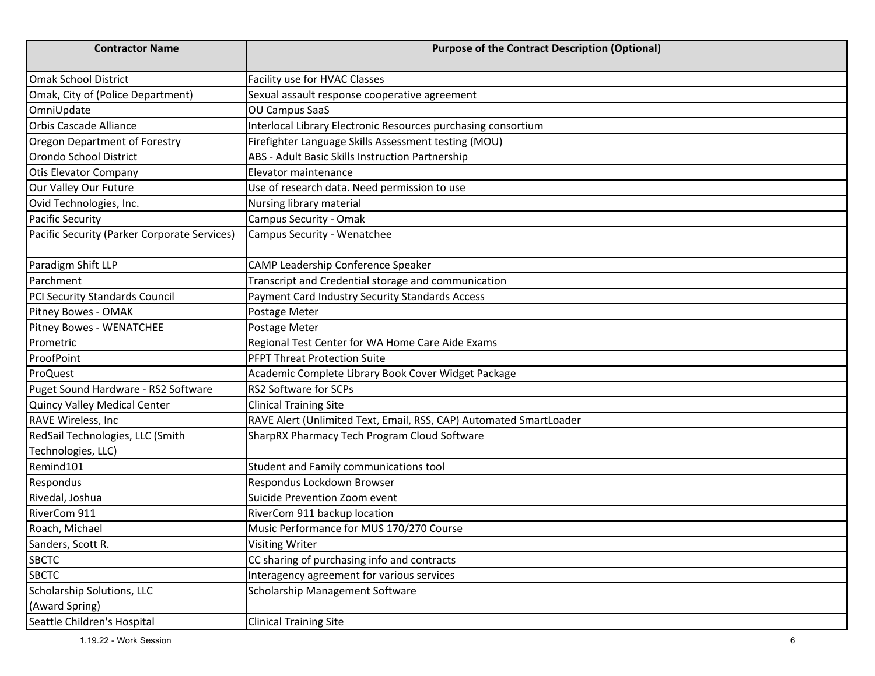| <b>Contractor Name</b>                                 | <b>Purpose of the Contract Description (Optional)</b>              |
|--------------------------------------------------------|--------------------------------------------------------------------|
| <b>Omak School District</b>                            | Facility use for HVAC Classes                                      |
| Omak, City of (Police Department)                      | Sexual assault response cooperative agreement                      |
| OmniUpdate                                             | <b>OU Campus SaaS</b>                                              |
| <b>Orbis Cascade Alliance</b>                          | Interlocal Library Electronic Resources purchasing consortium      |
| Oregon Department of Forestry                          | Firefighter Language Skills Assessment testing (MOU)               |
| Orondo School District                                 | ABS - Adult Basic Skills Instruction Partnership                   |
| <b>Otis Elevator Company</b>                           | Elevator maintenance                                               |
| Our Valley Our Future                                  | Use of research data. Need permission to use                       |
| Ovid Technologies, Inc.                                | Nursing library material                                           |
| <b>Pacific Security</b>                                | Campus Security - Omak                                             |
| Pacific Security (Parker Corporate Services)           | Campus Security - Wenatchee                                        |
| Paradigm Shift LLP                                     | CAMP Leadership Conference Speaker                                 |
| Parchment                                              | Transcript and Credential storage and communication                |
| PCI Security Standards Council                         | Payment Card Industry Security Standards Access                    |
| Pitney Bowes - OMAK                                    | Postage Meter                                                      |
| Pitney Bowes - WENATCHEE                               | Postage Meter                                                      |
| Prometric                                              | Regional Test Center for WA Home Care Aide Exams                   |
| ProofPoint                                             | <b>PFPT Threat Protection Suite</b>                                |
| ProQuest                                               | Academic Complete Library Book Cover Widget Package                |
| Puget Sound Hardware - RS2 Software                    | RS2 Software for SCPs                                              |
| Quincy Valley Medical Center                           | <b>Clinical Training Site</b>                                      |
| <b>RAVE Wireless, Inc.</b>                             | RAVE Alert (Unlimited Text, Email, RSS, CAP) Automated SmartLoader |
| RedSail Technologies, LLC (Smith<br>Technologies, LLC) | SharpRX Pharmacy Tech Program Cloud Software                       |
| Remind101                                              | Student and Family communications tool                             |
| Respondus                                              | Respondus Lockdown Browser                                         |
| Rivedal, Joshua                                        | Suicide Prevention Zoom event                                      |
| RiverCom 911                                           | RiverCom 911 backup location                                       |
| Roach, Michael                                         | Music Performance for MUS 170/270 Course                           |
| Sanders, Scott R.                                      | <b>Visiting Writer</b>                                             |
| <b>SBCTC</b>                                           | CC sharing of purchasing info and contracts                        |
| <b>SBCTC</b>                                           | Interagency agreement for various services                         |
| Scholarship Solutions, LLC                             | Scholarship Management Software                                    |
| (Award Spring)                                         |                                                                    |
| Seattle Children's Hospital                            | <b>Clinical Training Site</b>                                      |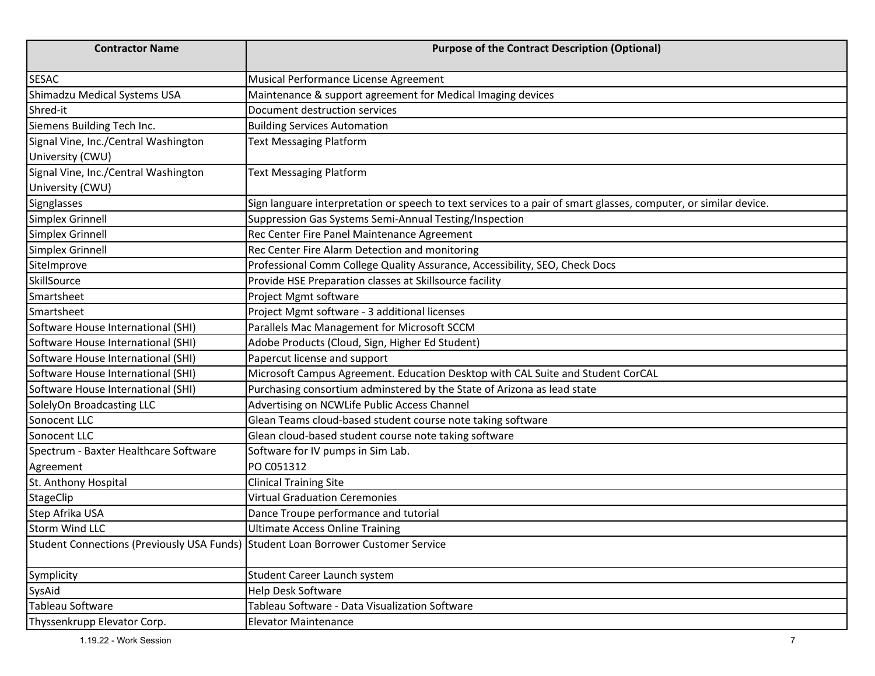| <b>Contractor Name</b>                                                            | <b>Purpose of the Contract Description (Optional)</b>                                                            |
|-----------------------------------------------------------------------------------|------------------------------------------------------------------------------------------------------------------|
| <b>SESAC</b>                                                                      | Musical Performance License Agreement                                                                            |
| Shimadzu Medical Systems USA                                                      | Maintenance & support agreement for Medical Imaging devices                                                      |
| Shred-it                                                                          | Document destruction services                                                                                    |
| Siemens Building Tech Inc.                                                        | <b>Building Services Automation</b>                                                                              |
| Signal Vine, Inc./Central Washington                                              | <b>Text Messaging Platform</b>                                                                                   |
| University (CWU)                                                                  |                                                                                                                  |
| Signal Vine, Inc./Central Washington                                              | <b>Text Messaging Platform</b>                                                                                   |
| University (CWU)                                                                  |                                                                                                                  |
| Signglasses                                                                       | Sign languare interpretation or speech to text services to a pair of smart glasses, computer, or similar device. |
| Simplex Grinnell                                                                  | Suppression Gas Systems Semi-Annual Testing/Inspection                                                           |
| Simplex Grinnell                                                                  | Rec Center Fire Panel Maintenance Agreement                                                                      |
| Simplex Grinnell                                                                  | Rec Center Fire Alarm Detection and monitoring                                                                   |
| SiteImprove                                                                       | Professional Comm College Quality Assurance, Accessibility, SEO, Check Docs                                      |
| SkillSource                                                                       | Provide HSE Preparation classes at Skillsource facility                                                          |
| Smartsheet                                                                        | Project Mgmt software                                                                                            |
| Smartsheet                                                                        | Project Mgmt software - 3 additional licenses                                                                    |
| Software House International (SHI)                                                | Parallels Mac Management for Microsoft SCCM                                                                      |
| Software House International (SHI)                                                | Adobe Products (Cloud, Sign, Higher Ed Student)                                                                  |
| Software House International (SHI)                                                | Papercut license and support                                                                                     |
| Software House International (SHI)                                                | Microsoft Campus Agreement. Education Desktop with CAL Suite and Student CorCAL                                  |
| Software House International (SHI)                                                | Purchasing consortium adminstered by the State of Arizona as lead state                                          |
| SolelyOn Broadcasting LLC                                                         | Advertising on NCWLife Public Access Channel                                                                     |
| Sonocent LLC                                                                      | Glean Teams cloud-based student course note taking software                                                      |
| Sonocent LLC                                                                      | Glean cloud-based student course note taking software                                                            |
| Spectrum - Baxter Healthcare Software                                             | Software for IV pumps in Sim Lab.                                                                                |
| Agreement                                                                         | PO C051312                                                                                                       |
| St. Anthony Hospital                                                              | <b>Clinical Training Site</b>                                                                                    |
| StageClip                                                                         | <b>Virtual Graduation Ceremonies</b>                                                                             |
| Step Afrika USA                                                                   | Dance Troupe performance and tutorial                                                                            |
| <b>Storm Wind LLC</b>                                                             | <b>Ultimate Access Online Training</b>                                                                           |
| Student Connections (Previously USA Funds) Student Loan Borrower Customer Service |                                                                                                                  |
| Symplicity                                                                        | Student Career Launch system                                                                                     |
| SysAid                                                                            | <b>Help Desk Software</b>                                                                                        |
| Tableau Software                                                                  | Tableau Software - Data Visualization Software                                                                   |
| Thyssenkrupp Elevator Corp.                                                       | <b>Elevator Maintenance</b>                                                                                      |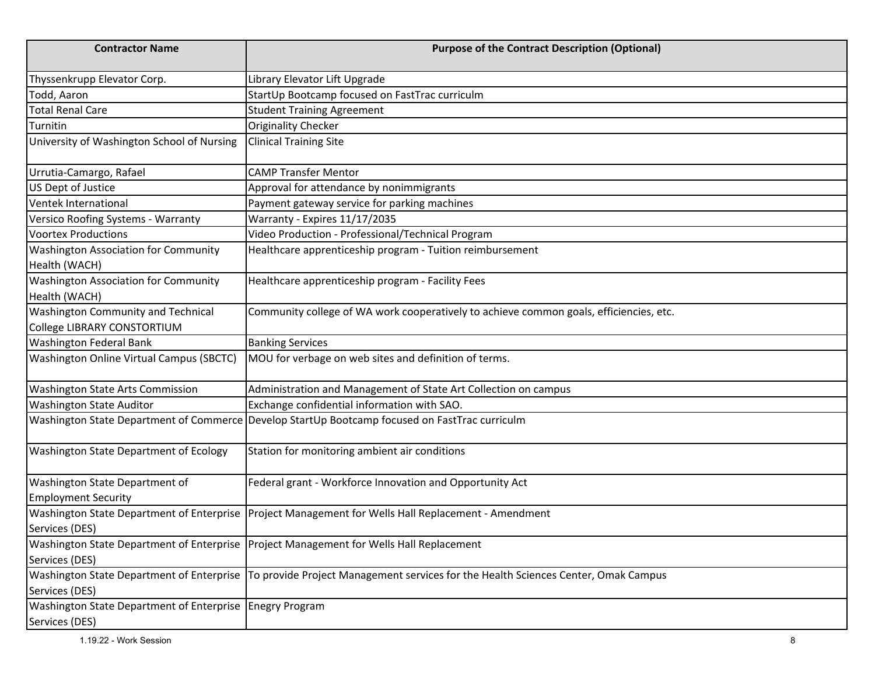| <b>Contractor Name</b>                                                       | <b>Purpose of the Contract Description (Optional)</b>                                                                          |
|------------------------------------------------------------------------------|--------------------------------------------------------------------------------------------------------------------------------|
| Thyssenkrupp Elevator Corp.                                                  | Library Elevator Lift Upgrade                                                                                                  |
| Todd, Aaron                                                                  | StartUp Bootcamp focused on FastTrac curriculm                                                                                 |
| <b>Total Renal Care</b>                                                      | <b>Student Training Agreement</b>                                                                                              |
| Turnitin                                                                     | Originality Checker                                                                                                            |
| University of Washington School of Nursing                                   | <b>Clinical Training Site</b>                                                                                                  |
| Urrutia-Camargo, Rafael                                                      | <b>CAMP Transfer Mentor</b>                                                                                                    |
| US Dept of Justice                                                           | Approval for attendance by nonimmigrants                                                                                       |
| Ventek International                                                         | Payment gateway service for parking machines                                                                                   |
| Versico Roofing Systems - Warranty                                           | Warranty - Expires 11/17/2035                                                                                                  |
| <b>Voortex Productions</b>                                                   | Video Production - Professional/Technical Program                                                                              |
| <b>Washington Association for Community</b><br>Health (WACH)                 | Healthcare apprenticeship program - Tuition reimbursement                                                                      |
| <b>Washington Association for Community</b><br>Health (WACH)                 | Healthcare apprenticeship program - Facility Fees                                                                              |
| Washington Community and Technical<br>College LIBRARY CONSTORTIUM            | Community college of WA work cooperatively to achieve common goals, efficiencies, etc.                                         |
| <b>Washington Federal Bank</b>                                               | <b>Banking Services</b>                                                                                                        |
| Washington Online Virtual Campus (SBCTC)                                     | MOU for verbage on web sites and definition of terms.                                                                          |
| <b>Washington State Arts Commission</b>                                      | Administration and Management of State Art Collection on campus                                                                |
| <b>Washington State Auditor</b>                                              | Exchange confidential information with SAO.                                                                                    |
|                                                                              | Washington State Department of Commerce Develop StartUp Bootcamp focused on FastTrac curriculm                                 |
| Washington State Department of Ecology                                       | Station for monitoring ambient air conditions                                                                                  |
| Washington State Department of<br><b>Employment Security</b>                 | Federal grant - Workforce Innovation and Opportunity Act                                                                       |
|                                                                              | Washington State Department of Enterprise   Project Management for Wells Hall Replacement - Amendment                          |
| Services (DES)                                                               |                                                                                                                                |
| Services (DES)                                                               | Washington State Department of Enterprise Project Management for Wells Hall Replacement                                        |
| Services (DES)                                                               | Washington State Department of Enterprise   To provide Project Management services for the Health Sciences Center, Omak Campus |
| Washington State Department of Enterprise   Enegry Program<br>Services (DES) |                                                                                                                                |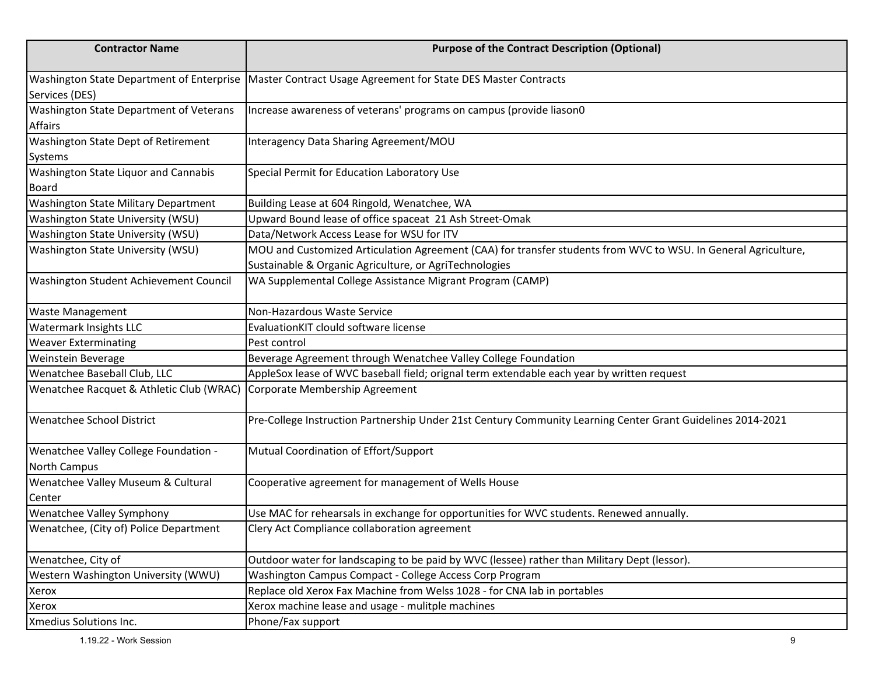| <b>Contractor Name</b>                                                  | <b>Purpose of the Contract Description (Optional)</b>                                                                                                                    |
|-------------------------------------------------------------------------|--------------------------------------------------------------------------------------------------------------------------------------------------------------------------|
| Services (DES)                                                          | Washington State Department of Enterprise   Master Contract Usage Agreement for State DES Master Contracts                                                               |
| Washington State Department of Veterans<br><b>Affairs</b>               | Increase awareness of veterans' programs on campus (provide liason0                                                                                                      |
| Washington State Dept of Retirement<br>Systems                          | Interagency Data Sharing Agreement/MOU                                                                                                                                   |
| Washington State Liquor and Cannabis<br><b>Board</b>                    | Special Permit for Education Laboratory Use                                                                                                                              |
| <b>Washington State Military Department</b>                             | Building Lease at 604 Ringold, Wenatchee, WA                                                                                                                             |
| Washington State University (WSU)                                       | Upward Bound lease of office spaceat 21 Ash Street-Omak                                                                                                                  |
| Washington State University (WSU)                                       | Data/Network Access Lease for WSU for ITV                                                                                                                                |
| Washington State University (WSU)                                       | MOU and Customized Articulation Agreement (CAA) for transfer students from WVC to WSU. In General Agriculture,<br>Sustainable & Organic Agriculture, or AgriTechnologies |
| Washington Student Achievement Council                                  | WA Supplemental College Assistance Migrant Program (CAMP)                                                                                                                |
| <b>Waste Management</b>                                                 | Non-Hazardous Waste Service                                                                                                                                              |
| Watermark Insights LLC                                                  | EvaluationKIT clould software license                                                                                                                                    |
| <b>Weaver Exterminating</b>                                             | Pest control                                                                                                                                                             |
| Weinstein Beverage                                                      | Beverage Agreement through Wenatchee Valley College Foundation                                                                                                           |
| Wenatchee Baseball Club, LLC                                            | AppleSox lease of WVC baseball field; orignal term extendable each year by written request                                                                               |
| Wenatchee Racquet & Athletic Club (WRAC) Corporate Membership Agreement |                                                                                                                                                                          |
| <b>Wenatchee School District</b>                                        | Pre-College Instruction Partnership Under 21st Century Community Learning Center Grant Guidelines 2014-2021                                                              |
| Wenatchee Valley College Foundation -<br><b>North Campus</b>            | Mutual Coordination of Effort/Support                                                                                                                                    |
| Wenatchee Valley Museum & Cultural<br>Center                            | Cooperative agreement for management of Wells House                                                                                                                      |
| Wenatchee Valley Symphony                                               | Use MAC for rehearsals in exchange for opportunities for WVC students. Renewed annually.                                                                                 |
| Wenatchee, (City of) Police Department                                  | Clery Act Compliance collaboration agreement                                                                                                                             |
| Wenatchee, City of                                                      | Outdoor water for landscaping to be paid by WVC (lessee) rather than Military Dept (lessor).                                                                             |
| Western Washington University (WWU)                                     | Washington Campus Compact - College Access Corp Program                                                                                                                  |
| Xerox                                                                   | Replace old Xerox Fax Machine from Welss 1028 - for CNA lab in portables                                                                                                 |
| Xerox                                                                   | Xerox machine lease and usage - mulitple machines                                                                                                                        |
| Xmedius Solutions Inc.                                                  | Phone/Fax support                                                                                                                                                        |